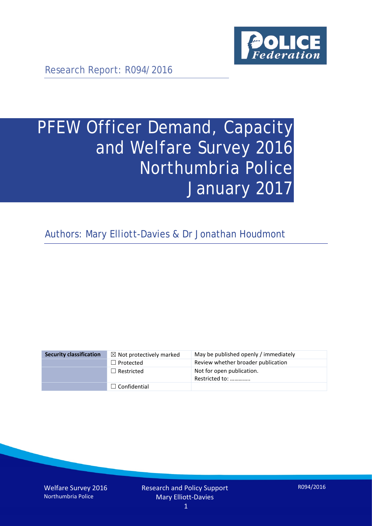

Research Report: R094/2016

# PFEW Officer Demand, Capacity and Welfare Survey 2016 Northumbria Police January 2017

Authors: Mary Elliott-Davies & Dr Jonathan Houdmont

| <b>Security classification</b> | $\boxtimes$ Not protectively marked | May be published openly / immediately       |
|--------------------------------|-------------------------------------|---------------------------------------------|
|                                | $\Box$ Protected                    | Review whether broader publication          |
|                                | $\Box$ Restricted                   | Not for open publication.<br>Restricted to: |
|                                | $\Box$ Confidential                 |                                             |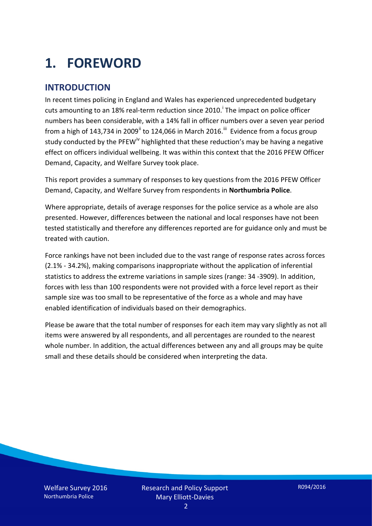# **1. FOREWORD**

### **INTRODUCTION**

In recent times policing in England and Wales has experienced unprecedented budgetary cuts amount[i](#page-15-0)ng to an 18% real-term reduction since 2010.<sup>1</sup> The impact on police officer numbers has been considerable, with a 14% fall in officer numbers over a seven year period from a high of 143,734 in 2009<sup>[ii](#page-15-1)</sup> to 124,066 in March 2016.<sup>[iii](#page-15-2)</sup> Evidence from a focus group study conducted by the PFEW<sup>[iv](#page-15-3)</sup> highlighted that these reduction's may be having a negative effect on officers individual wellbeing. It was within this context that the 2016 PFEW Officer Demand, Capacity, and Welfare Survey took place.

This report provides a summary of responses to key questions from the 2016 PFEW Officer Demand, Capacity, and Welfare Survey from respondents in **Northumbria Police**.

Where appropriate, details of average responses for the police service as a whole are also presented. However, differences between the national and local responses have not been tested statistically and therefore any differences reported are for guidance only and must be treated with caution.

Force rankings have not been included due to the vast range of response rates across forces (2.1% - 34.2%), making comparisons inappropriate without the application of inferential statistics to address the extreme variations in sample sizes (range: 34 -3909). In addition, forces with less than 100 respondents were not provided with a force level report as their sample size was too small to be representative of the force as a whole and may have enabled identification of individuals based on their demographics.

Please be aware that the total number of responses for each item may vary slightly as not all items were answered by all respondents, and all percentages are rounded to the nearest whole number. In addition, the actual differences between any and all groups may be quite small and these details should be considered when interpreting the data.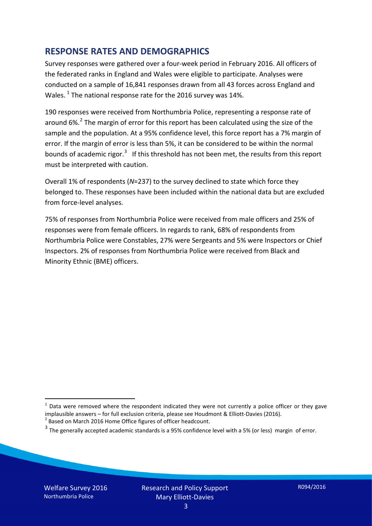### **RESPONSE RATES AND DEMOGRAPHICS**

Survey responses were gathered over a four-week period in February 2016. All officers of the federated ranks in England and Wales were eligible to participate. Analyses were conducted on a sample of 16,841 responses drawn from all 43 forces across England and Wales.  $^1$  $^1$  The national response rate for the 2016 survey was 14%.

190 responses were received from Northumbria Police, representing a response rate of around  $6\%$ .<sup>[2](#page-2-1)</sup> The margin of error for this report has been calculated using the size of the sample and the population. At a 95% confidence level, this force report has a 7% margin of error. If the margin of error is less than 5%, it can be considered to be within the normal bounds of academic rigor.<sup>[3](#page-2-2)</sup> If this threshold has not been met, the results from this report must be interpreted with caution.

Overall 1% of respondents (*N*=237) to the survey declined to state which force they belonged to. These responses have been included within the national data but are excluded from force-level analyses.

75% of responses from Northumbria Police were received from male officers and 25% of responses were from female officers. In regards to rank, 68% of respondents from Northumbria Police were Constables, 27% were Sergeants and 5% were Inspectors or Chief Inspectors. 2% of responses from Northumbria Police were received from Black and Minority Ethnic (BME) officers.

<u>.</u>

<span id="page-2-0"></span> $1$  Data were removed where the respondent indicated they were not currently a police officer or they gave implausible answers – for full exclusion criteria, please see Houdmont & Elliott-Davies (2016).<br><sup>2</sup> Based on March 2016 Home Office figures of officer headcount.

<span id="page-2-1"></span>

<span id="page-2-2"></span> $3$  The generally accepted academic standards is a 95% confidence level with a 5% (or less) margin of error.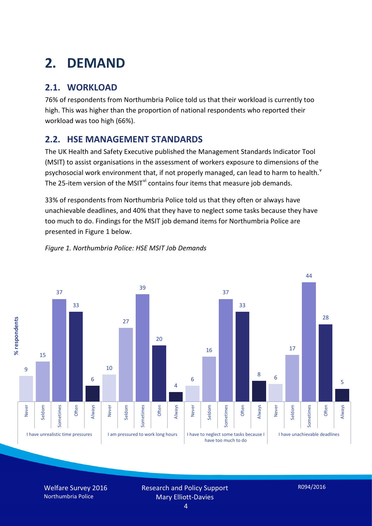# **2. DEMAND**

# **2.1. WORKLOAD**

76% of respondents from Northumbria Police told us that their workload is currently too high. This was higher than the proportion of national respondents who reported their workload was too high (66%).

# **2.2. HSE MANAGEMENT STANDARDS**

The UK Health and Safety Executive published the Management Standards Indicator Tool (MSIT) to assist organisations in the assessment of workers exposure to dimensions of the psychosocial work en[v](#page-15-4)ironment that, if not properly managed, can lead to harm to health.<sup>v</sup> The 25-item version of the MSIT<sup>[vi](#page-15-5)</sup> contains four items that measure job demands.

33% of respondents from Northumbria Police told us that they often or always have unachievable deadlines, and 40% that they have to neglect some tasks because they have too much to do. Findings for the MSIT job demand items for Northumbria Police are presented in Figure 1 below.



#### *Figure 1. Northumbria Police: HSE MSIT Job Demands*

Welfare Survey 2016 Northumbria Police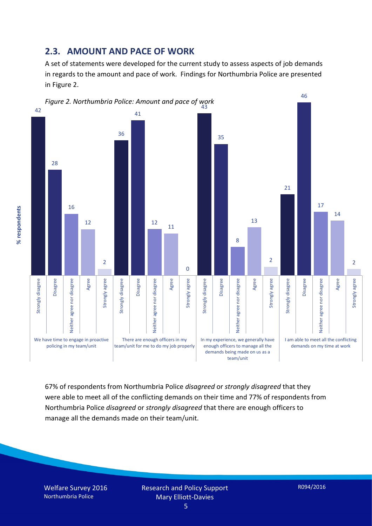### **2.3. AMOUNT AND PACE OF WORK**

A set of statements were developed for the current study to assess aspects of job demands in regards to the amount and pace of work. Findings for Northumbria Police are presented in Figure 2.



67% of respondents from Northumbria Police *disagreed* or *strongly disagreed* that they were able to meet all of the conflicting demands on their time and 77% of respondents from Northumbria Police *disagreed* or *strongly disagreed* that there are enough officers to manage all the demands made on their team/unit.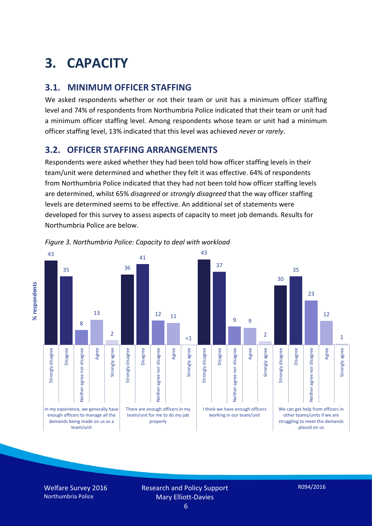# **3. CAPACITY**

## **3.1. MINIMUM OFFICER STAFFING**

We asked respondents whether or not their team or unit has a minimum officer staffing level and 74% of respondents from Northumbria Police indicated that their team or unit had a minimum officer staffing level. Among respondents whose team or unit had a minimum officer staffing level, 13% indicated that this level was achieved *never* or *rarely*.

## **3.2. OFFICER STAFFING ARRANGEMENTS**

Respondents were asked whether they had been told how officer staffing levels in their team/unit were determined and whether they felt it was effective. 64% of respondents from Northumbria Police indicated that they had not been told how officer staffing levels are determined, whilst 65% *disagreed* or *strongly disagreed* that the way officer staffing levels are determined seems to be effective. An additional set of statements were developed for this survey to assess aspects of capacity to meet job demands. Results for Northumbria Police are below.



*Figure 3. Northumbria Police: Capacity to deal with workload*

Welfare Survey 2016 Northumbria Police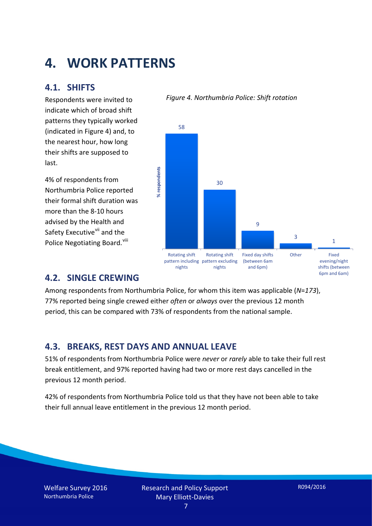# **4. WORK PATTERNS**

### **4.1. SHIFTS**

Respondents were invited to indicate which of broad shift patterns they typically worked (indicated in Figure 4) and, to the nearest hour, how long their shifts are supposed to last.

4% of respondents from Northumbria Police reported their formal shift duration was more than the 8-10 hours advised by the Health and Safety Executive<sup>[vii](#page-15-6)</sup> and the Police Negotiating Board. Vill

#### 58 % respondents **% respondents** 30 9 3 1 Rotating shift Rotating shift Fixed day shifts Other Fixed evening/night pattern including pattern excluding (between 6am nights nights and 6pm) shifts (between

### **4.2. SINGLE CREWING**

Among respondents from Northumbria Police, for whom this item was applicable (*N*=*173*), 77% reported being single crewed either *often* or *always* over the previous 12 month period, this can be compared with 73% of respondents from the national sample.

### **4.3. BREAKS, REST DAYS AND ANNUAL LEAVE**

51% of respondents from Northumbria Police were *never* or *rarely* able to take their full rest break entitlement, and 97% reported having had two or more rest days cancelled in the previous 12 month period.

42% of respondents from Northumbria Police told us that they have not been able to take their full annual leave entitlement in the previous 12 month period.

Welfare Survey 2016 Northumbria Police

6pm and 6am)

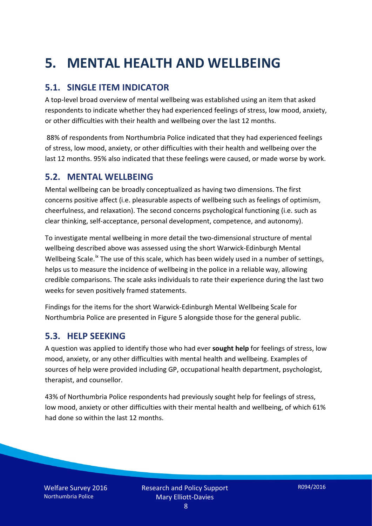# **5. MENTAL HEALTH AND WELLBEING**

# **5.1. SINGLE ITEM INDICATOR**

A top-level broad overview of mental wellbeing was established using an item that asked respondents to indicate whether they had experienced feelings of stress, low mood, anxiety, or other difficulties with their health and wellbeing over the last 12 months.

88% of respondents from Northumbria Police indicated that they had experienced feelings of stress, low mood, anxiety, or other difficulties with their health and wellbeing over the last 12 months. 95% also indicated that these feelings were caused, or made worse by work.

### **5.2. MENTAL WELLBEING**

Mental wellbeing can be broadly conceptualized as having two dimensions. The first concerns positive affect (i.e. pleasurable aspects of wellbeing such as feelings of optimism, cheerfulness, and relaxation). The second concerns psychological functioning (i.e. such as clear thinking, self-acceptance, personal development, competence, and autonomy).

To investigate mental wellbeing in more detail the two-dimensional structure of mental wellbeing described above was assessed using the short Warwick-Edinburgh Mental Wellbeing Scale.<sup>[ix](#page-15-8)</sup> The use of this scale, which has been widely used in a number of settings, helps us to measure the incidence of wellbeing in the police in a reliable way, allowing credible comparisons. The scale asks individuals to rate their experience during the last two weeks for seven positively framed statements.

Findings for the items for the short Warwick-Edinburgh Mental Wellbeing Scale for Northumbria Police are presented in Figure 5 alongside those for the general public.

### **5.3. HELP SEEKING**

A question was applied to identify those who had ever **sought help** for feelings of stress, low mood, anxiety, or any other difficulties with mental health and wellbeing. Examples of sources of help were provided including GP, occupational health department, psychologist, therapist, and counsellor.

43% of Northumbria Police respondents had previously sought help for feelings of stress, low mood, anxiety or other difficulties with their mental health and wellbeing, of which 61% had done so within the last 12 months.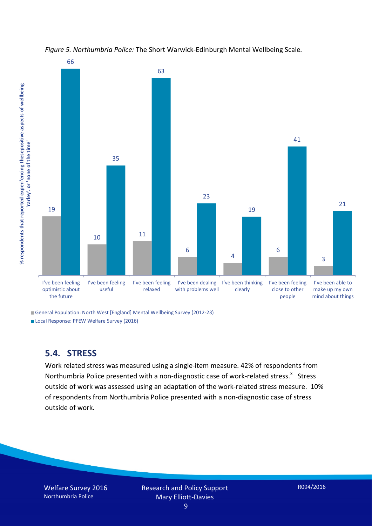



General Population: North West [England] Mental Wellbeing Survey (2012-23)

Local Response: PFEW Welfare Survey (2016)

### **5.4. STRESS**

Work related stress was measured using a single-item measure. 42% of respondents from Northumbria Police presented with a non-diagnostic case of work-related stress.<sup>[x](#page-15-9)</sup> Stress outside of work was assessed using an adaptation of the work-related stress measure. 10% of respondents from Northumbria Police presented with a non-diagnostic case of stress outside of work.

Welfare Survey 2016 Northumbria Police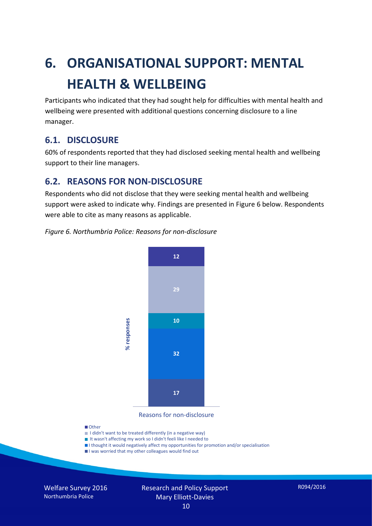# **6. ORGANISATIONAL SUPPORT: MENTAL HEALTH & WELLBEING**

Participants who indicated that they had sought help for difficulties with mental health and wellbeing were presented with additional questions concerning disclosure to a line manager.

### **6.1. DISCLOSURE**

60% of respondents reported that they had disclosed seeking mental health and wellbeing support to their line managers.

## **6.2. REASONS FOR NON-DISCLOSURE**

Respondents who did not disclose that they were seeking mental health and wellbeing support were asked to indicate why. Findings are presented in Figure 6 below. Respondents were able to cite as many reasons as applicable.

#### *Figure 6. Northumbria Police: Reasons for non-disclosure*



Reasons for non-disclosure

#### **D**Other

- I didn't want to be treated differently (in a negative way)
- I It wasn't affecting my work so I didn't feeli like I needed to
- I thought it would negatively affect my opportunities for promotion and/or specialisation
- I was worried that my other colleagues would find out

Welfare Survey 2016 Northumbria Police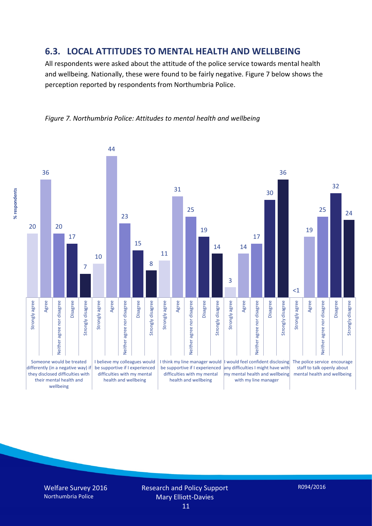### **6.3. LOCAL ATTITUDES TO MENTAL HEALTH AND WELLBEING**

All respondents were asked about the attitude of the police service towards mental health and wellbeing. Nationally, these were found to be fairly negative. Figure 7 below shows the perception reported by respondents from Northumbria Police.



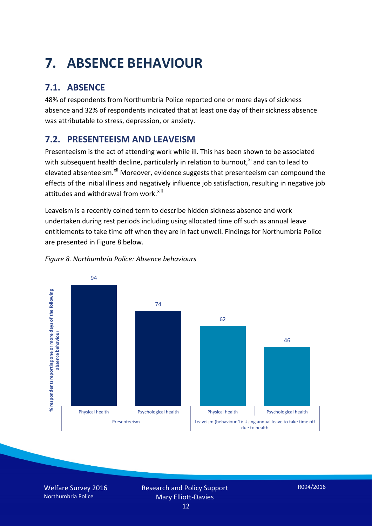# **7. ABSENCE BEHAVIOUR**

# **7.1. ABSENCE**

48% of respondents from Northumbria Police reported one or more days of sickness absence and 32% of respondents indicated that at least one day of their sickness absence was attributable to stress, depression, or anxiety.

# **7.2. PRESENTEEISM AND LEAVEISM**

Presenteeism is the act of attending work while ill. This has been shown to be associated with subsequent health decline, particularly in relation to burnout, $x_i$  and can to lead to elevated absenteeism.<sup>[xii](#page-16-1)</sup> Moreover, evidence suggests that presenteeism can compound the effects of the initial illness and negatively influence job satisfaction, resulting in negative job attitudes and withdrawal from work.<sup>[xiii](#page-16-2)</sup>

Leaveism is a recently coined term to describe hidden sickness absence and work undertaken during rest periods including using allocated time off such as annual leave entitlements to take time off when they are in fact unwell. Findings for Northumbria Police are presented in Figure 8 below.



#### *Figure 8. Northumbria Police: Absence behaviours*

Welfare Survey 2016 Northumbria Police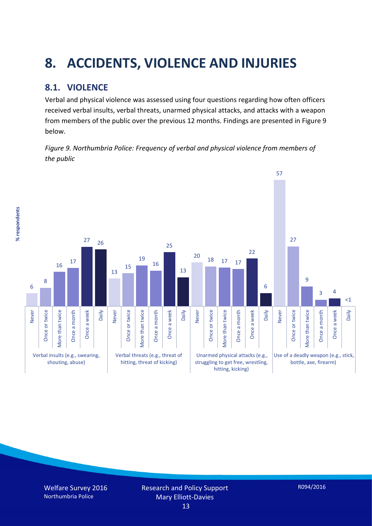# **8. ACCIDENTS, VIOLENCE AND INJURIES**

# **8.1. VIOLENCE**

Verbal and physical violence was assessed using four questions regarding how often officers received verbal insults, verbal threats, unarmed physical attacks, and attacks with a weapon from members of the public over the previous 12 months. Findings are presented in Figure 9 below.

*Figure 9. Northumbria Police: Frequency of verbal and physical violence from members of the public*



% respondents **% respondents**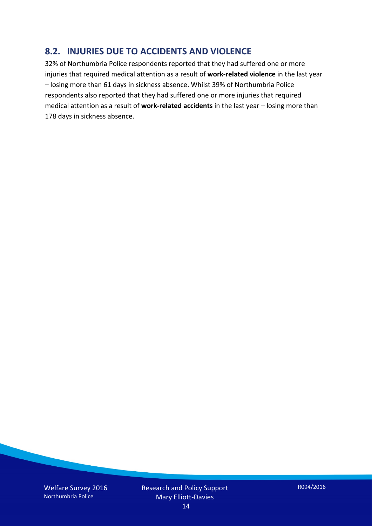### **8.2. INJURIES DUE TO ACCIDENTS AND VIOLENCE**

32% of Northumbria Police respondents reported that they had suffered one or more injuries that required medical attention as a result of **work-related violence** in the last year – losing more than 61 days in sickness absence. Whilst 39% of Northumbria Police respondents also reported that they had suffered one or more injuries that required medical attention as a result of **work-related accidents** in the last year – losing more than 178 days in sickness absence.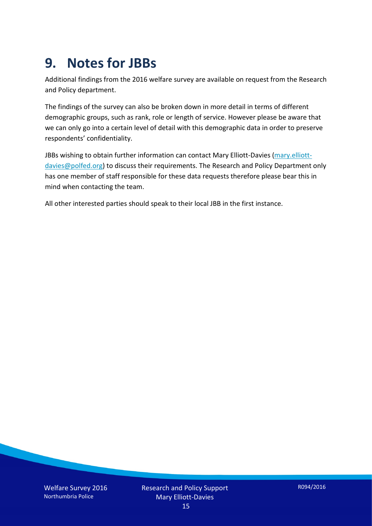# **9. Notes for JBBs**

Additional findings from the 2016 welfare survey are available on request from the Research and Policy department.

The findings of the survey can also be broken down in more detail in terms of different demographic groups, such as rank, role or length of service. However please be aware that we can only go into a certain level of detail with this demographic data in order to preserve respondents' confidentiality.

JBBs wishing to obtain further information can contact Mary Elliott-Davies [\(mary.elliott](mailto:mary.elliott-davies@polfed.org)[davies@polfed.org\)](mailto:mary.elliott-davies@polfed.org) to discuss their requirements. The Research and Policy Department only has one member of staff responsible for these data requests therefore please bear this in mind when contacting the team.

All other interested parties should speak to their local JBB in the first instance.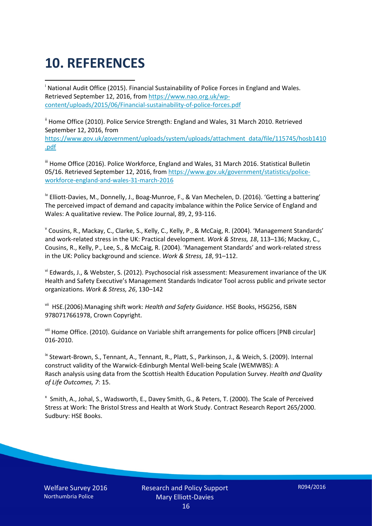# **10. REFERENCES**

<span id="page-15-0"></span>i National Audit Office (2015). Financial Sustainability of Police Forces in England and Wales. Retrieved September 12, 2016, fro[m https://www.nao.org.uk/wp](https://www.nao.org.uk/wp-content/uploads/2015/06/Financial-sustainability-of-police-forces.pdf)[content/uploads/2015/06/Financial-sustainability-of-police-forces.pdf](https://www.nao.org.uk/wp-content/uploads/2015/06/Financial-sustainability-of-police-forces.pdf)

<span id="page-15-1"></span><sup>ii</sup> Home Office (2010). Police Service Strength: England and Wales, 31 March 2010. Retrieved September 12, 2016, from [https://www.gov.uk/government/uploads/system/uploads/attachment\\_data/file/115745/hosb1410](https://www.gov.uk/government/uploads/system/uploads/attachment_data/file/115745/hosb1410.pdf) [.pdf](https://www.gov.uk/government/uploads/system/uploads/attachment_data/file/115745/hosb1410.pdf)

<span id="page-15-2"></span><sup>iii</sup> Home Office (2016). Police Workforce, England and Wales, 31 March 2016. Statistical Bulletin 05/16. Retrieved September 12, 2016, fro[m https://www.gov.uk/government/statistics/police](https://www.gov.uk/government/statistics/police-workforce-england-and-wales-31-march-2016)[workforce-england-and-wales-31-march-2016](https://www.gov.uk/government/statistics/police-workforce-england-and-wales-31-march-2016)

<span id="page-15-3"></span><sup>iv</sup> Elliott-Davies, M., Donnelly, J., Boag-Munroe, F., & Van Mechelen, D. (2016). 'Getting a battering' The perceived impact of demand and capacity imbalance within the Police Service of England and Wales: A qualitative review. The Police Journal, 89, 2, 93-116.

<span id="page-15-4"></span><sup>v</sup> Cousins, R., Mackay, C., Clarke, S., Kelly, C., Kelly, P., & McCaig, R. (2004). 'Management Standards' and work-related stress in the UK: Practical development. *Work & Stress, 18*, 113–136; Mackay, C., Cousins, R., Kelly, P., Lee, S., & McCaig, R. (2004). 'Management Standards' and work-related stress in the UK: Policy background and science. *Work & Stress, 18*, 91–112.

<span id="page-15-5"></span>vi Edwards, J., & Webster, S. (2012). Psychosocial risk assessment: Measurement invariance of the UK Health and Safety Executive's Management Standards Indicator Tool across public and private sector organizations. *Work & Stress, 26*, 130–142

<span id="page-15-6"></span>vii HSE.(2006).Managing shift work: *Health and Safety Guidance*. HSE Books, HSG256, ISBN 9780717661978, Crown Copyright.

<span id="page-15-7"></span>viii Home Office. (2010). Guidance on Variable shift arrangements for police officers [PNB circular] 016-2010.

<span id="page-15-8"></span><sup>ix</sup> Stewart-Brown, S., Tennant, A., Tennant, R., Platt, S., Parkinson, J., & Weich, S. (2009). Internal construct validity of the Warwick-Edinburgh Mental Well-being Scale (WEMWBS): A Rasch analysis using data from the Scottish Health Education Population Survey. *Health and Quality of Life Outcomes, 7*: 15.

<span id="page-15-9"></span>x Smith, A., Johal, S., Wadsworth, E., Davey Smith, G., & Peters, T. (2000). The Scale of Perceived Stress at Work: The Bristol Stress and Health at Work Study. Contract Research Report 265/2000. Sudbury: HSE Books.